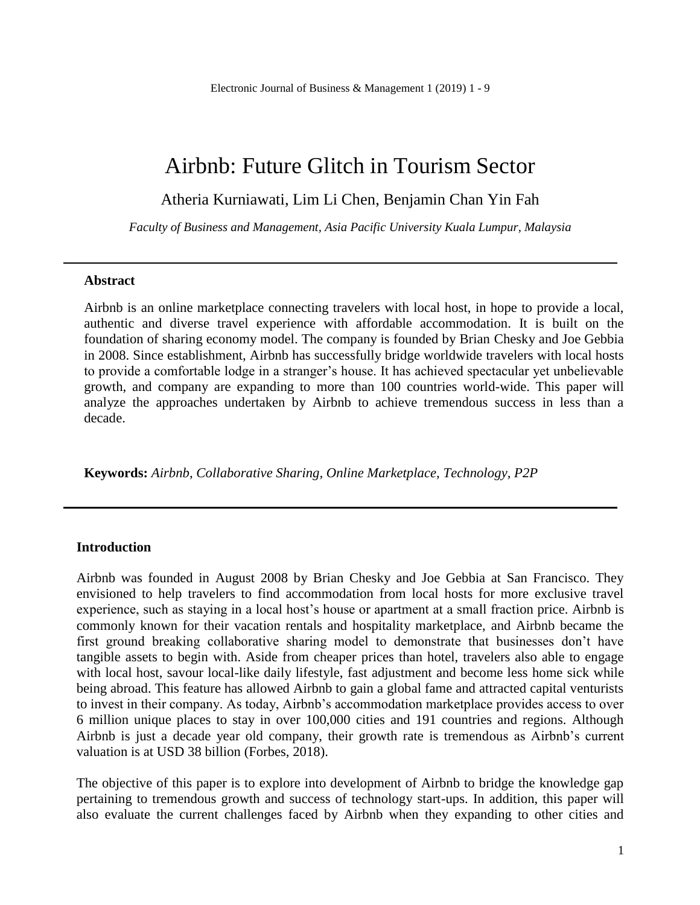# Airbnb: Future Glitch in Tourism Sector

Atheria Kurniawati, Lim Li Chen, Benjamin Chan Yin Fah

*Faculty of Business and Management, Asia Pacific University Kuala Lumpur, Malaysia*

#### **Abstract**

Airbnb is an online marketplace connecting travelers with local host, in hope to provide a local, authentic and diverse travel experience with affordable accommodation. It is built on the foundation of sharing economy model. The company is founded by Brian Chesky and Joe Gebbia in 2008. Since establishment, Airbnb has successfully bridge worldwide travelers with local hosts to provide a comfortable lodge in a stranger's house. It has achieved spectacular yet unbelievable growth, and company are expanding to more than 100 countries world-wide. This paper will analyze the approaches undertaken by Airbnb to achieve tremendous success in less than a decade.

**Keywords:** *Airbnb, Collaborative Sharing, Online Marketplace, Technology, P2P*

#### **Introduction**

Airbnb was founded in August 2008 by Brian Chesky and Joe Gebbia at San Francisco. They envisioned to help travelers to find accommodation from local hosts for more exclusive travel experience, such as staying in a local host's house or apartment at a small fraction price. Airbnb is commonly known for their vacation rentals and hospitality marketplace, and Airbnb became the first ground breaking collaborative sharing model to demonstrate that businesses don't have tangible assets to begin with. Aside from cheaper prices than hotel, travelers also able to engage with local host, savour local-like daily lifestyle, fast adjustment and become less home sick while being abroad. This feature has allowed Airbnb to gain a global fame and attracted capital venturists to invest in their company. As today, Airbnb's accommodation marketplace provides access to over 6 million unique places to stay in over 100,000 cities and 191 countries and regions. Although Airbnb is just a decade year old company, their growth rate is tremendous as Airbnb's current valuation is at USD 38 billion (Forbes, 2018).

The objective of this paper is to explore into development of Airbnb to bridge the knowledge gap pertaining to tremendous growth and success of technology start-ups. In addition, this paper will also evaluate the current challenges faced by Airbnb when they expanding to other cities and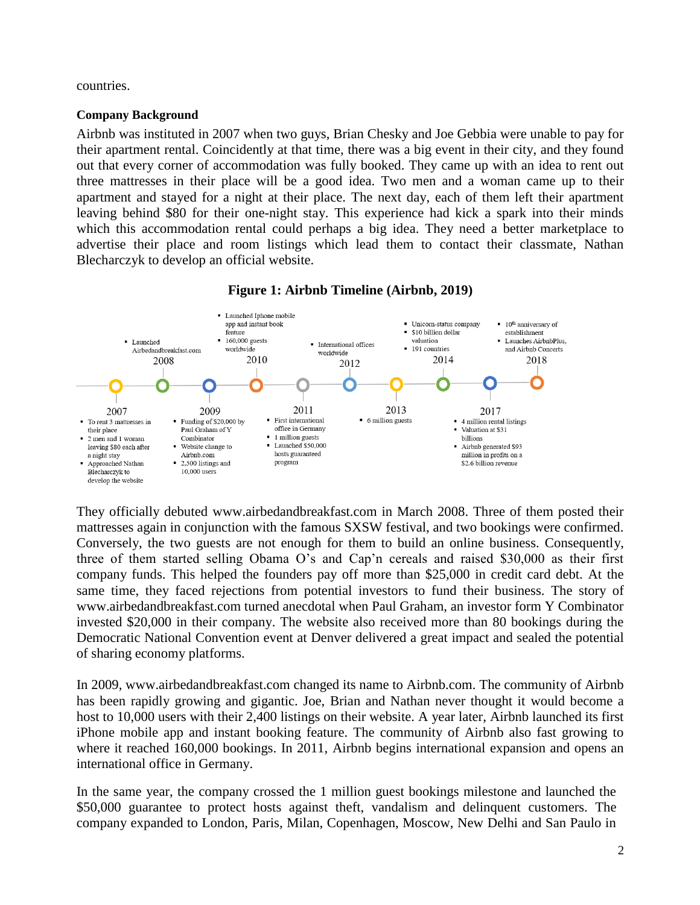countries.

### **Company Background**

Airbnb was instituted in 2007 when two guys, Brian Chesky and Joe Gebbia were unable to pay for their apartment rental. Coincidently at that time, there was a big event in their city, and they found out that every corner of accommodation was fully booked. They came up with an idea to rent out three mattresses in their place will be a good idea. Two men and a woman came up to their apartment and stayed for a night at their place. The next day, each of them left their apartment leaving behind \$80 for their one-night stay. This experience had kick a spark into their minds which this accommodation rental could perhaps a big idea. They need a better marketplace to advertise their place and room listings which lead them to contact their classmate, Nathan Blecharczyk to develop an official website.



**Figure 1: Airbnb Timeline (Airbnb, 2019)**

They officially debuted www.airbedandbreakfast.com in March 2008. Three of them posted their mattresses again in conjunction with the famous SXSW festival, and two bookings were confirmed. Conversely, the two guests are not enough for them to build an online business. Consequently, three of them started selling Obama O's and Cap'n cereals and raised \$30,000 as their first company funds. This helped the founders pay off more than \$25,000 in credit card debt. At the same time, they faced rejections from potential investors to fund their business. The story of www.airbedandbreakfast.com turned anecdotal when Paul Graham, an investor form Y Combinator invested \$20,000 in their company. The website also received more than 80 bookings during the Democratic National Convention event at Denver delivered a great impact and sealed the potential of sharing economy platforms.

In 2009, www.airbedandbreakfast.com changed its name to Airbnb.com. The community of Airbnb has been rapidly growing and gigantic. Joe, Brian and Nathan never thought it would become a host to 10,000 users with their 2,400 listings on their website. A year later, Airbnb launched its first iPhone mobile app and instant booking feature. The community of Airbnb also fast growing to where it reached 160,000 bookings. In 2011, Airbnb begins international expansion and opens an international office in Germany.

In the same year, the company crossed the 1 million guest bookings milestone and launched the \$50,000 guarantee to protect hosts against theft, vandalism and delinquent customers. The company expanded to London, Paris, Milan, Copenhagen, Moscow, New Delhi and San Paulo in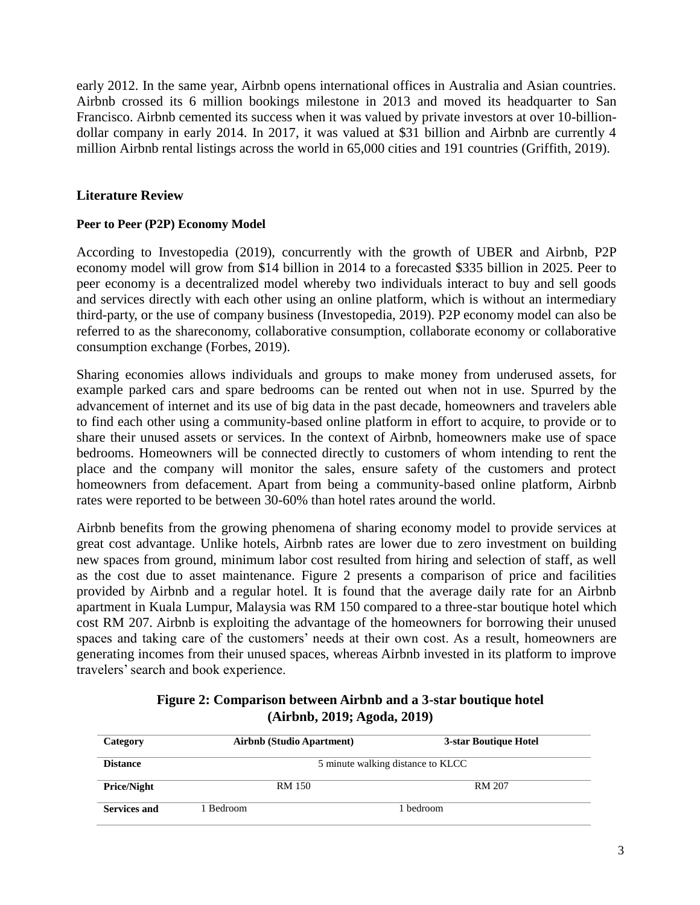early 2012. In the same year, Airbnb opens international offices in Australia and Asian countries. Airbnb crossed its 6 million bookings milestone in 2013 and moved its headquarter to San Francisco. Airbnb cemented its success when it was valued by private investors at over 10-billiondollar company in early 2014. In 2017, it was valued at \$31 billion and Airbnb are currently 4 million Airbnb rental listings across the world in 65,000 cities and 191 countries (Griffith, 2019).

## **Literature Review**

### **Peer to Peer (P2P) Economy Model**

According to Investopedia (2019), concurrently with the growth of UBER and Airbnb, P2P economy model will grow from \$14 billion in 2014 to a forecasted \$335 billion in 2025. Peer to peer economy is a decentralized model whereby two individuals interact to buy and sell goods and services directly with each other using an online platform, which is without an intermediary third-party, or the use of company business (Investopedia, 2019). P2P economy model can also be referred to as the shareconomy, collaborative consumption, collaborate economy or collaborative consumption exchange (Forbes, 2019).

Sharing economies allows individuals and groups to make money from underused assets, for example parked cars and spare bedrooms can be rented out when not in use. Spurred by the advancement of internet and its use of big data in the past decade, homeowners and travelers able to find each other using a community-based online platform in effort to acquire, to provide or to share their unused assets or services. In the context of Airbnb, homeowners make use of space bedrooms. Homeowners will be connected directly to customers of whom intending to rent the place and the company will monitor the sales, ensure safety of the customers and protect homeowners from defacement. Apart from being a community-based online platform, Airbnb rates were reported to be between 30-60% than hotel rates around the world.

Airbnb benefits from the growing phenomena of sharing economy model to provide services at great cost advantage. Unlike hotels, Airbnb rates are lower due to zero investment on building new spaces from ground, minimum labor cost resulted from hiring and selection of staff, as well as the cost due to asset maintenance. Figure 2 presents a comparison of price and facilities provided by Airbnb and a regular hotel. It is found that the average daily rate for an Airbnb apartment in Kuala Lumpur, Malaysia was RM 150 compared to a three-star boutique hotel which cost RM 207. Airbnb is exploiting the advantage of the homeowners for borrowing their unused spaces and taking care of the customers' needs at their own cost. As a result, homeowners are generating incomes from their unused spaces, whereas Airbnb invested in its platform to improve travelers' search and book experience.

## **Figure 2: Comparison between Airbnb and a 3-star boutique hotel (Airbnb, 2019; Agoda, 2019)**

| Category            | <b>Airbnb</b> (Studio Apartment)  | 3-star Boutique Hotel |  |  |
|---------------------|-----------------------------------|-----------------------|--|--|
| <b>Distance</b>     | 5 minute walking distance to KLCC |                       |  |  |
| <b>Price/Night</b>  | RM 150                            | RM 207                |  |  |
| <b>Services and</b> | i Bedroom-                        | 1 bedroom             |  |  |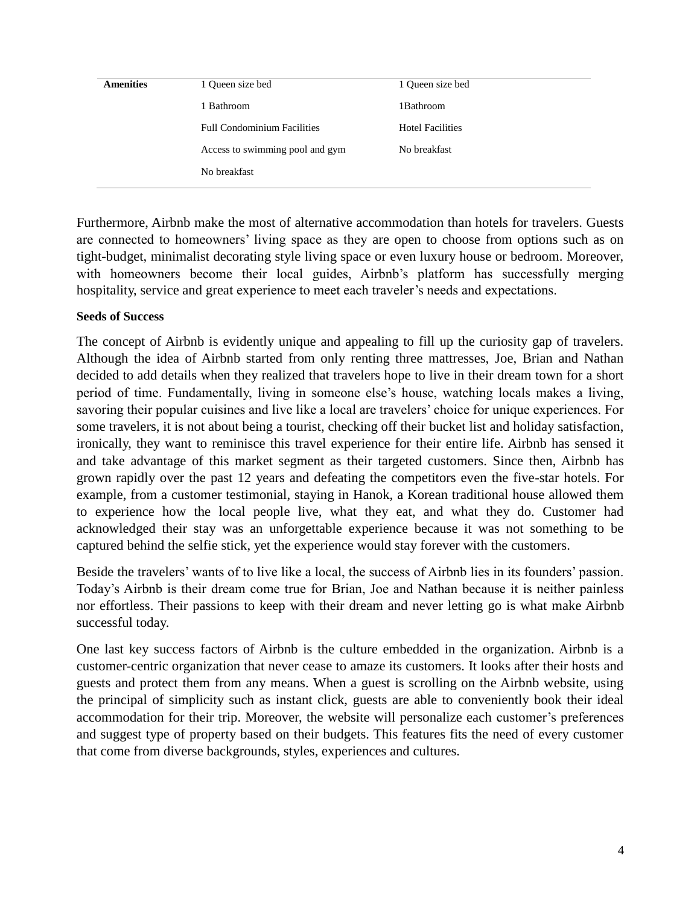| 1 Bathroom              |
|-------------------------|
| <b>Hotel Facilities</b> |
| No breakfast            |
|                         |
|                         |

Furthermore, Airbnb make the most of alternative accommodation than hotels for travelers. Guests are connected to homeowners' living space as they are open to choose from options such as on tight-budget, minimalist decorating style living space or even luxury house or bedroom. Moreover, with homeowners become their local guides, Airbnb's platform has successfully merging hospitality, service and great experience to meet each traveler's needs and expectations.

### **Seeds of Success**

The concept of Airbnb is evidently unique and appealing to fill up the curiosity gap of travelers. Although the idea of Airbnb started from only renting three mattresses, Joe, Brian and Nathan decided to add details when they realized that travelers hope to live in their dream town for a short period of time. Fundamentally, living in someone else's house, watching locals makes a living, savoring their popular cuisines and live like a local are travelers' choice for unique experiences. For some travelers, it is not about being a tourist, checking off their bucket list and holiday satisfaction, ironically, they want to reminisce this travel experience for their entire life. Airbnb has sensed it and take advantage of this market segment as their targeted customers. Since then, Airbnb has grown rapidly over the past 12 years and defeating the competitors even the five-star hotels. For example, from a customer testimonial, staying in Hanok, a Korean traditional house allowed them to experience how the local people live, what they eat, and what they do. Customer had acknowledged their stay was an unforgettable experience because it was not something to be captured behind the selfie stick, yet the experience would stay forever with the customers.

Beside the travelers' wants of to live like a local, the success of Airbnb lies in its founders' passion. Today's Airbnb is their dream come true for Brian, Joe and Nathan because it is neither painless nor effortless. Their passions to keep with their dream and never letting go is what make Airbnb successful today.

One last key success factors of Airbnb is the culture embedded in the organization. Airbnb is a customer-centric organization that never cease to amaze its customers. It looks after their hosts and guests and protect them from any means. When a guest is scrolling on the Airbnb website, using the principal of simplicity such as instant click, guests are able to conveniently book their ideal accommodation for their trip. Moreover, the website will personalize each customer's preferences and suggest type of property based on their budgets. This features fits the need of every customer that come from diverse backgrounds, styles, experiences and cultures.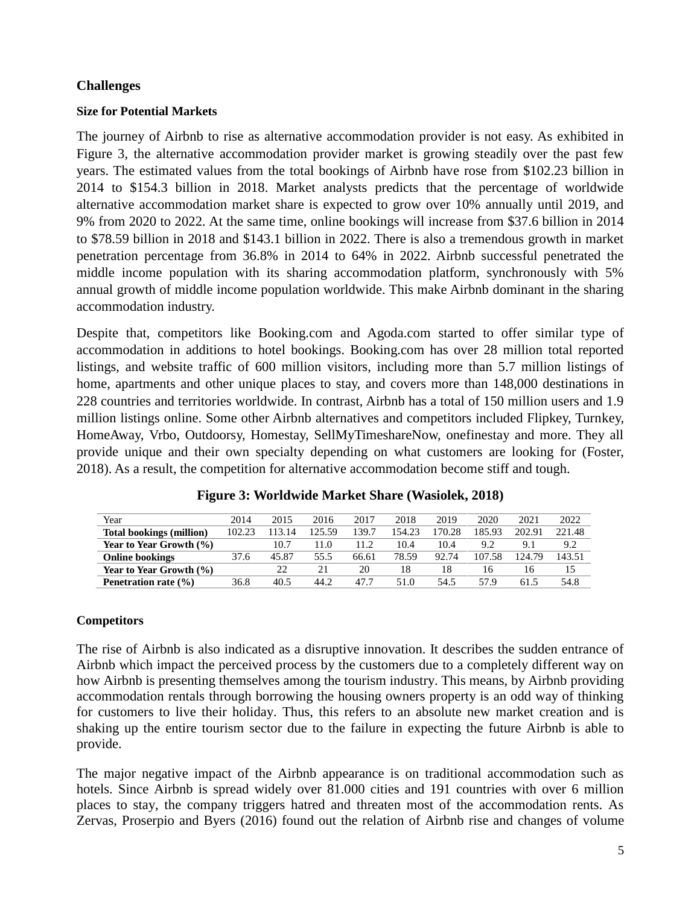# **Challenges**

### **Size for Potential Markets**

The journey of Airbnb to rise as alternative accommodation provider is not easy. As exhibited in Figure 3, the alternative accommodation provider market is growing steadily over the past few years. The estimated values from the total bookings of Airbnb have rose from \$102.23 billion in 2014 to \$154.3 billion in 2018. Market analysts predicts that the percentage of worldwide alternative accommodation market share is expected to grow over 10% annually until 2019, and 9% from 2020 to 2022. At the same time, online bookings will increase from \$37.6 billion in 2014 to \$78.59 billion in 2018 and \$143.1 billion in 2022. There is also a tremendous growth in market penetration percentage from 36.8% in 2014 to 64% in 2022. Airbnb successful penetrated the middle income population with its sharing accommodation platform, synchronously with 5% annual growth of middle income population worldwide. This make Airbnb dominant in the sharing accommodation industry.

Despite that, competitors like Booking.com and Agoda.com started to offer similar type of accommodation in additions to hotel bookings. Booking.com has over 28 million total reported listings, and website traffic of 600 million visitors, including more than 5.7 million listings of home, apartments and other unique places to stay, and covers more than 148,000 destinations in 228 countries and territories worldwide. In contrast, Airbnb has a total of 150 million users and 1.9 million listings online. Some other Airbnb alternatives and competitors included Flipkey, Turnkey, HomeAway, Vrbo, Outdoorsy, Homestay, SellMyTimeshareNow, onefinestay and more. They all provide unique and their own specialty depending on what customers are looking for (Foster, 2018). As a result, the competition for alternative accommodation become stiff and tough.

| Year                            | 2014   | 2015   | 2016   | 2017  | 2018   | 2019   | 2020   | 2021   | 2022   |
|---------------------------------|--------|--------|--------|-------|--------|--------|--------|--------|--------|
| <b>Total bookings (million)</b> | 102.23 | 113.14 | 125.59 | 139.7 | 154.23 | 170.28 | 85.93  | 202.91 | 221.48 |
| Year to Year Growth (%)         |        | 10.7   | 11.0   |       | 10.4   | 10.4   | 9.2    | 9.1    | 9.2    |
| <b>Online bookings</b>          | 37.6   | 45.87  | 55.5   | 66.61 | 78.59  | 92.74  | 107.58 | 124.79 | 143.51 |
| Year to Year Growth (%)         |        | 22     | 21     | 20    | 18     | 18     | Iб     | Iб     | 15     |
| Penetration rate (%)            | 36.8   | 40.5   | 44.2   | 47.7  | 51.0   | 54.5   | 57.9   | 61.5   | 54.8   |

**Figure 3: Worldwide Market Share (Wasiolek, 2018)**

# **Competitors**

The rise of Airbnb is also indicated as a disruptive innovation. It describes the sudden entrance of Airbnb which impact the perceived process by the customers due to a completely different way on how Airbnb is presenting themselves among the tourism industry. This means, by Airbnb providing accommodation rentals through borrowing the housing owners property is an odd way of thinking for customers to live their holiday. Thus, this refers to an absolute new market creation and is shaking up the entire tourism sector due to the failure in expecting the future Airbnb is able to provide.

The major negative impact of the Airbnb appearance is on traditional accommodation such as hotels. Since Airbnb is spread widely over 81.000 cities and 191 countries with over 6 million places to stay, the company triggers hatred and threaten most of the accommodation rents. As Zervas, Proserpio and Byers (2016) found out the relation of Airbnb rise and changes of volume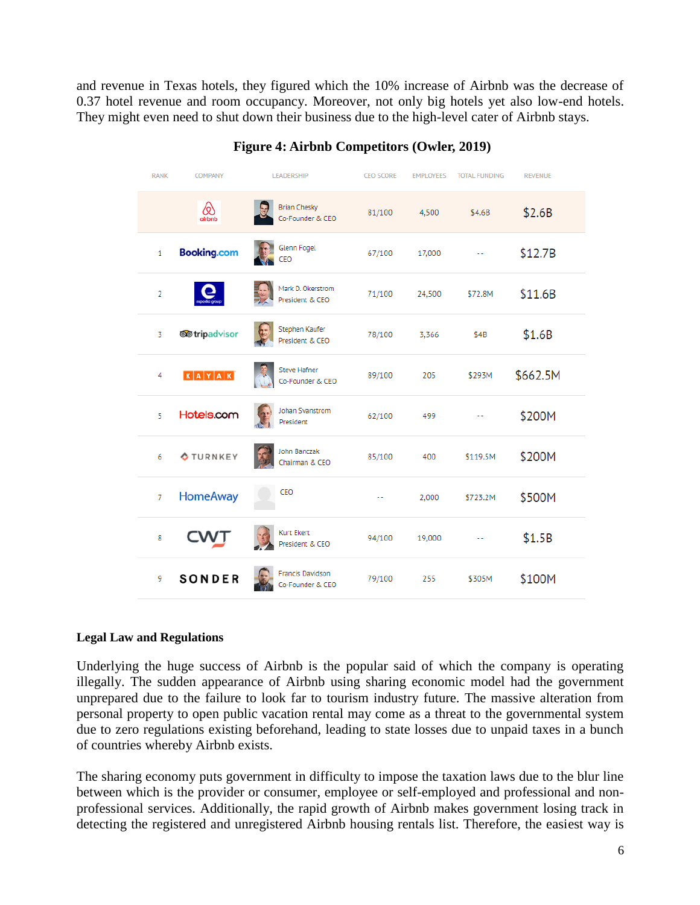and revenue in Texas hotels, they figured which the 10% increase of Airbnb was the decrease of 0.37 hotel revenue and room occupancy. Moreover, not only big hotels yet also low-end hotels. They might even need to shut down their business due to the high-level cater of Airbnb stays.

| <b>RANK</b>    | <b>COMPANY</b>       | LEADERSHIP                              | <b>CEO SCORE</b> | <b>EMPLOYEES</b> |          | <b>REVENUE</b> |  |
|----------------|----------------------|-----------------------------------------|------------------|------------------|----------|----------------|--|
|                | @<br>airbnb          | <b>Brian Chesky</b><br>Co-Founder & CEO | 81/100           | 4,500            | \$4.6B   | \$2.6B         |  |
| $\mathbf{1}$   | <b>Booking.com</b>   | Glenn Fogel<br><b>CEO</b>               | 67/100           | 17,000           | ۰.       | \$12.7B        |  |
| $\overline{2}$ |                      | Mark D. Okerstrom<br>President & CEO    | 71/100           | 24,500           | \$72.8M  | \$11.6B        |  |
| 3              | <b>@</b> tripadvisor | Stephen Kaufer<br>President & CEO       | 78/100           | 3,366            | \$4B     | \$1.6B         |  |
| 4              | $K$ $A$ $Y$ $A$ $K$  | <b>Steve Hafner</b><br>Co-Founder & CEO | 89/100           | 205              | \$293M   | \$662.5M       |  |
| 5              | Hotels.com           | Johan Svanstrom<br>President            | 62/100           | 499              | 44       | \$200M         |  |
| 6              | <b>OTURNKEY</b>      | John Banczak<br>Chairman & CEO          | 85/100           | 400              | \$119.5M | \$200M         |  |
| 7              | <b>HomeAway</b>      | CEO                                     | 44               | 2,000            | \$723.2M | \$500M         |  |
| 8              |                      | Kurt Ekert<br>President & CEO           | 94/100           | 19,000           |          | \$1.5B         |  |
| 9              | <b>SONDER</b>        | Francis Davidson<br>Co-Founder & CEO    | 79/100           | 255              | \$305M   | \$100M         |  |

# **Figure 4: Airbnb Competitors (Owler, 2019)**

### **Legal Law and Regulations**

Underlying the huge success of Airbnb is the popular said of which the company is operating illegally. The sudden appearance of Airbnb using sharing economic model had the government unprepared due to the failure to look far to tourism industry future. The massive alteration from personal property to open public vacation rental may come as a threat to the governmental system due to zero regulations existing beforehand, leading to state losses due to unpaid taxes in a bunch of countries whereby Airbnb exists.

The sharing economy puts government in difficulty to impose the taxation laws due to the blur line between which is the provider or consumer, employee or self-employed and professional and nonprofessional services. Additionally, the rapid growth of Airbnb makes government losing track in detecting the registered and unregistered Airbnb housing rentals list. Therefore, the easiest way is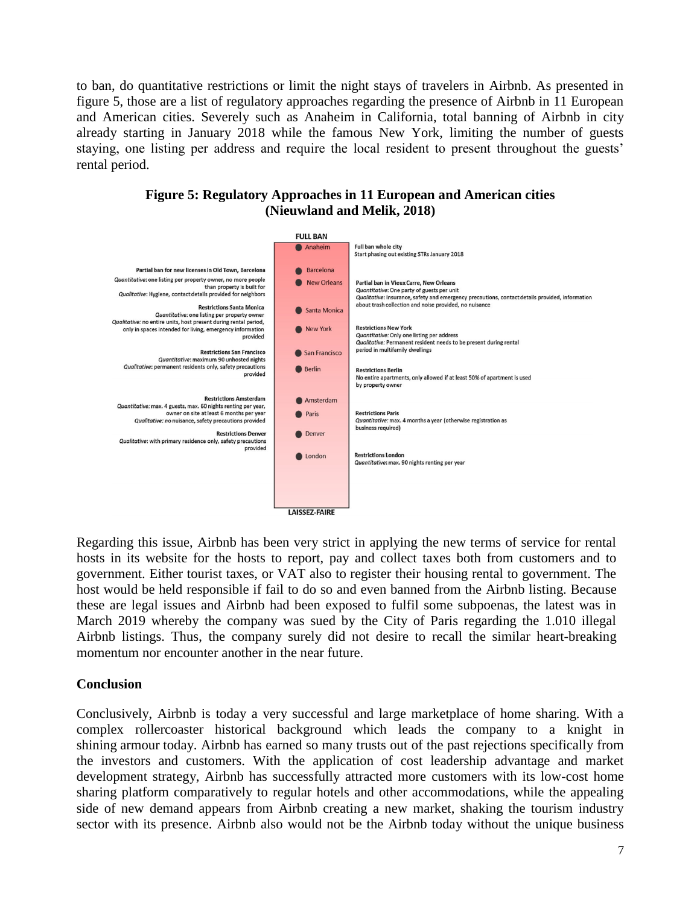to ban, do quantitative restrictions or limit the night stays of travelers in Airbnb. As presented in figure 5, those are a list of regulatory approaches regarding the presence of Airbnb in 11 European and American cities. Severely such as Anaheim in California, total banning of Airbnb in city already starting in January 2018 while the famous New York, limiting the number of guests staying, one listing per address and require the local resident to present throughout the guests' rental period.

**Figure 5: Regulatory Approaches in 11 European and American cities (Nieuwland and Melik, 2018)**



Regarding this issue, Airbnb has been very strict in applying the new terms of service for rental hosts in its website for the hosts to report, pay and collect taxes both from customers and to government. Either tourist taxes, or VAT also to register their housing rental to government. The host would be held responsible if fail to do so and even banned from the Airbnb listing. Because these are legal issues and Airbnb had been exposed to fulfil some subpoenas, the latest was in March 2019 whereby the company was sued by the City of Paris regarding the 1.010 illegal Airbnb listings. Thus, the company surely did not desire to recall the similar heart-breaking momentum nor encounter another in the near future.

### **Conclusion**

Conclusively, Airbnb is today a very successful and large marketplace of home sharing. With a complex rollercoaster historical background which leads the company to a knight in shining armour today. Airbnb has earned so many trusts out of the past rejections specifically from the investors and customers. With the application of cost leadership advantage and market development strategy, Airbnb has successfully attracted more customers with its low-cost home sharing platform comparatively to regular hotels and other accommodations, while the appealing side of new demand appears from Airbnb creating a new market, shaking the tourism industry sector with its presence. Airbnb also would not be the Airbnb today without the unique business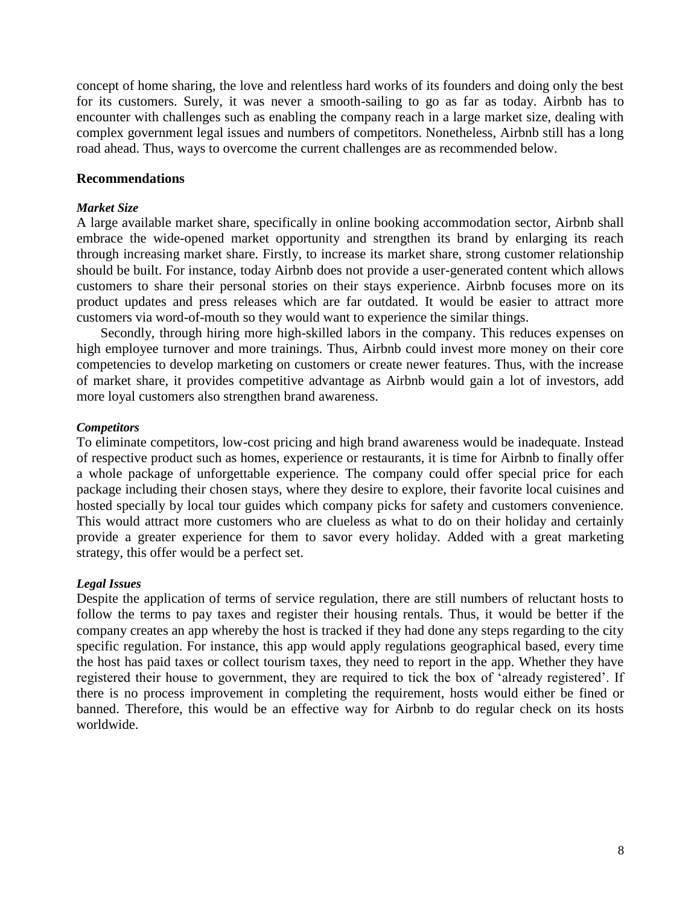concept of home sharing, the love and relentless hard works of its founders and doing only the best for its customers. Surely, it was never a smooth-sailing to go as far as today. Airbnb has to encounter with challenges such as enabling the company reach in a large market size, dealing with complex government legal issues and numbers of competitors. Nonetheless, Airbnb still has a long road ahead. Thus, ways to overcome the current challenges are as recommended below.

#### **Recommendations**

#### *Market Size*

A large available market share, specifically in online booking accommodation sector, Airbnb shall embrace the wide-opened market opportunity and strengthen its brand by enlarging its reach through increasing market share. Firstly, to increase its market share, strong customer relationship should be built. For instance, today Airbnb does not provide a user-generated content which allows customers to share their personal stories on their stays experience. Airbnb focuses more on its product updates and press releases which are far outdated. It would be easier to attract more customers via word-of-mouth so they would want to experience the similar things.

Secondly, through hiring more high-skilled labors in the company. This reduces expenses on high employee turnover and more trainings. Thus, Airbnb could invest more money on their core competencies to develop marketing on customers or create newer features. Thus, with the increase of market share, it provides competitive advantage as Airbnb would gain a lot of investors, add more loyal customers also strengthen brand awareness.

#### *Competitors*

To eliminate competitors, low-cost pricing and high brand awareness would be inadequate. Instead of respective product such as homes, experience or restaurants, it is time for Airbnb to finally offer a whole package of unforgettable experience. The company could offer special price for each package including their chosen stays, where they desire to explore, their favorite local cuisines and hosted specially by local tour guides which company picks for safety and customers convenience. This would attract more customers who are clueless as what to do on their holiday and certainly provide a greater experience for them to savor every holiday. Added with a great marketing strategy, this offer would be a perfect set.

#### *Legal Issues*

Despite the application of terms of service regulation, there are still numbers of reluctant hosts to follow the terms to pay taxes and register their housing rentals. Thus, it would be better if the company creates an app whereby the host is tracked if they had done any steps regarding to the city specific regulation. For instance, this app would apply regulations geographical based, every time the host has paid taxes or collect tourism taxes, they need to report in the app. Whether they have registered their house to government, they are required to tick the box of 'already registered'. If there is no process improvement in completing the requirement, hosts would either be fined or banned. Therefore, this would be an effective way for Airbnb to do regular check on its hosts worldwide.